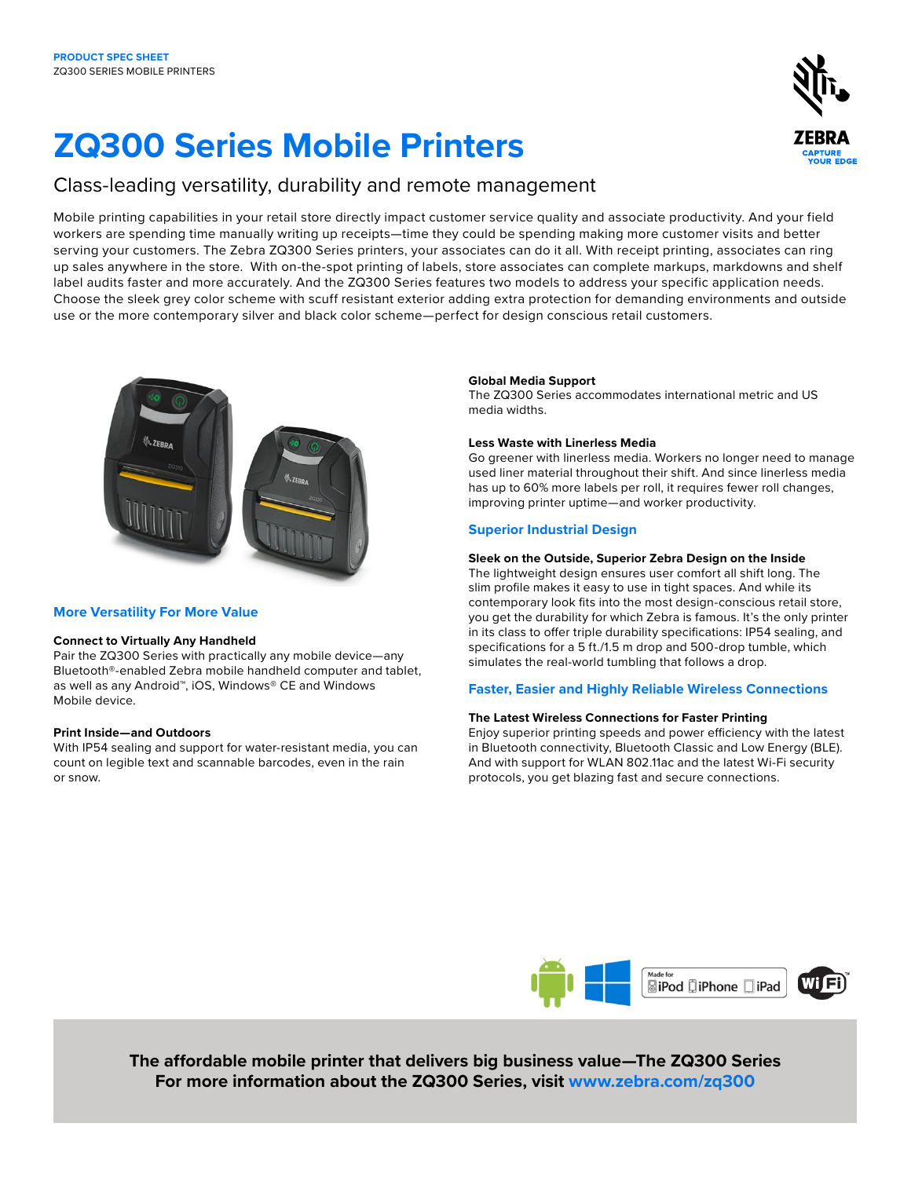# **ZQ300 Series Mobile Printers**

## Class-leading versatility, durability and remote management

Mobile printing capabilities in your retail store directly impact customer service quality and associate productivity. And your field workers are spending time manually writing up receipts—time they could be spending making more customer visits and better serving your customers. The Zebra ZQ300 Series printers, your associates can do it all. With receipt printing, associates can ring up sales anywhere in the store. With on-the-spot printing of labels, store associates can complete markups, markdowns and shelf label audits faster and more accurately. And the ZQ300 Series features two models to address your specific application needs. Choose the sleek grey color scheme with scuff resistant exterior adding extra protection for demanding environments and outside use or the more contemporary silver and black color scheme—perfect for design conscious retail customers.



## **More Versatility For More Value**

## **Connect to Virtually Any Handheld**

Pair the ZQ300 Series with practically any mobile device—any Bluetooth®-enabled Zebra mobile handheld computer and tablet, as well as any Android™, iOS, Windows® CE and Windows Mobile device.

## **Print Inside—and Outdoors**

With IP54 sealing and support for water-resistant media, you can count on legible text and scannable barcodes, even in the rain or snow.

## **Global Media Support**

The ZQ300 Series accommodates international metric and US media widths.

## **Less Waste with Linerless Media**

Go greener with linerless media. Workers no longer need to manage used liner material throughout their shift. And since linerless media has up to 60% more labels per roll, it requires fewer roll changes, improving printer uptime—and worker productivity.

## **Superior Industrial Design**

## **Sleek on the Outside, Superior Zebra Design on the Inside**

The lightweight design ensures user comfort all shift long. The slim profile makes it easy to use in tight spaces. And while its contemporary look fits into the most design-conscious retail store, you get the durability for which Zebra is famous. It's the only printer in its class to offer triple durability specifications: IP54 sealing, and specifications for a 5 ft./1.5 m drop and 500-drop tumble, which simulates the real-world tumbling that follows a drop.

## **Faster, Easier and Highly Reliable Wireless Connections**

## **The Latest Wireless Connections for Faster Printing**

Enjoy superior printing speeds and power efficiency with the latest in Bluetooth connectivity, Bluetooth Classic and Low Energy (BLE). And with support for WLAN 802.11ac and the latest Wi-Fi security protocols, you get blazing fast and secure connections.



**The affordable mobile printer that delivers big business value—The ZQ300 Series For more information about the ZQ300 Series, visit [www.zebra.com/](http://www.zebra.com/zq300)zq300**

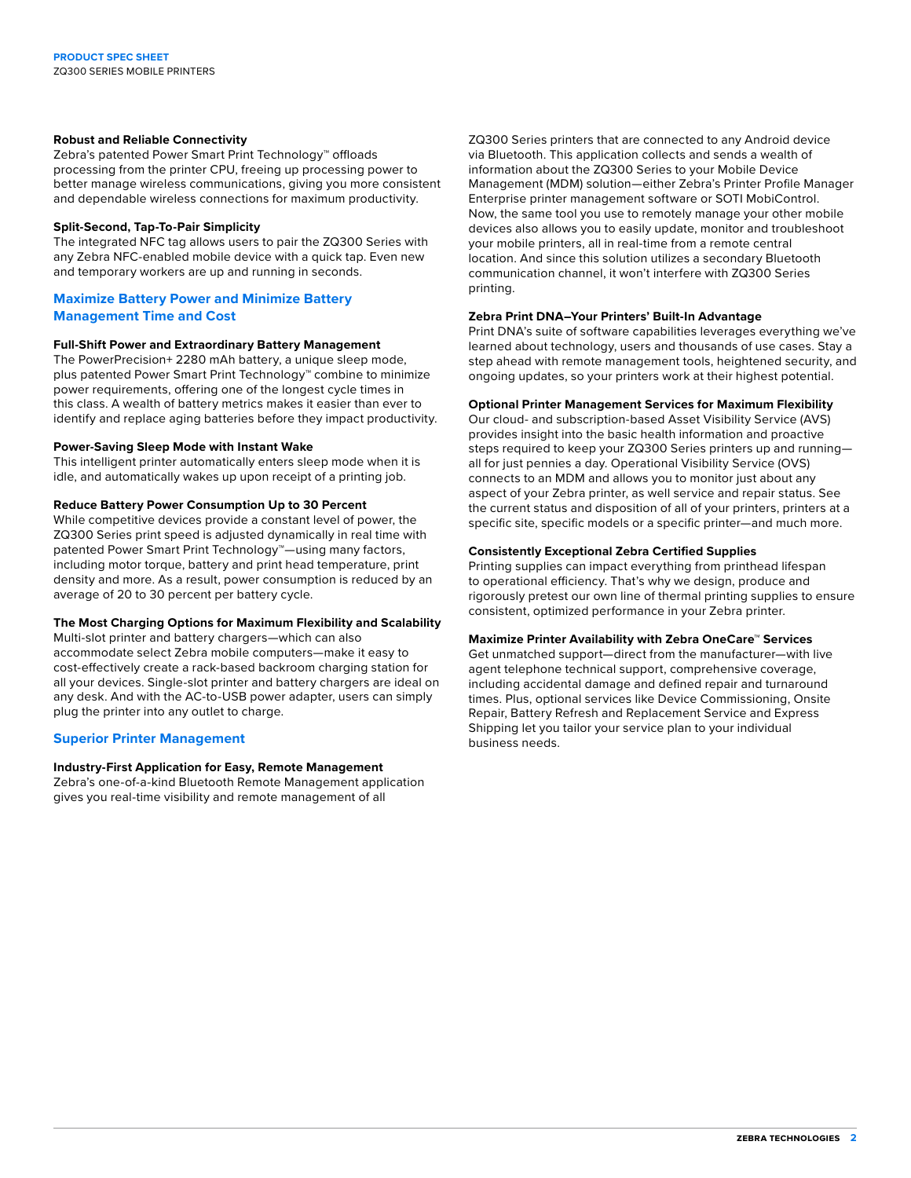## **Robust and Reliable Connectivity**

Zebra's patented Power Smart Print Technology™ offloads processing from the printer CPU, freeing up processing power to better manage wireless communications, giving you more consistent and dependable wireless connections for maximum productivity.

## **Split-Second, Tap-To-Pair Simplicity**

The integrated NFC tag allows users to pair the ZQ300 Series with any Zebra NFC-enabled mobile device with a quick tap. Even new and temporary workers are up and running in seconds.

## **Maximize Battery Power and Minimize Battery Management Time and Cost**

## **Full-Shift Power and Extraordinary Battery Management**

The PowerPrecision+ 2280 mAh battery, a unique sleep mode, plus patented Power Smart Print Technology™ combine to minimize power requirements, offering one of the longest cycle times in this class. A wealth of battery metrics makes it easier than ever to identify and replace aging batteries before they impact productivity.

## **Power-Saving Sleep Mode with Instant Wake**

This intelligent printer automatically enters sleep mode when it is idle, and automatically wakes up upon receipt of a printing job.

## **Reduce Battery Power Consumption Up to 30 Percent**

While competitive devices provide a constant level of power, the ZQ300 Series print speed is adjusted dynamically in real time with patented Power Smart Print Technology™—using many factors, including motor torque, battery and print head temperature, print density and more. As a result, power consumption is reduced by an average of 20 to 30 percent per battery cycle.

## **The Most Charging Options for Maximum Flexibility and Scalability**

Multi-slot printer and battery chargers—which can also accommodate select Zebra mobile computers—make it easy to cost-effectively create a rack-based backroom charging station for all your devices. Single-slot printer and battery chargers are ideal on any desk. And with the AC-to-USB power adapter, users can simply plug the printer into any outlet to charge.

## **Superior Printer Management**

## **Industry-First Application for Easy, Remote Management**

Zebra's one-of-a-kind Bluetooth Remote Management application gives you real-time visibility and remote management of all

ZQ300 Series printers that are connected to any Android device via Bluetooth. This application collects and sends a wealth of information about the ZQ300 Series to your Mobile Device Management (MDM) solution—either Zebra's Printer Profile Manager Enterprise printer management software or SOTI MobiControl. Now, the same tool you use to remotely manage your other mobile devices also allows you to easily update, monitor and troubleshoot your mobile printers, all in real-time from a remote central location. And since this solution utilizes a secondary Bluetooth communication channel, it won't interfere with ZQ300 Series printing.

## **Zebra Print DNA–Your Printers' Built-In Advantage**

Print DNA's suite of software capabilities leverages everything we've learned about technology, users and thousands of use cases. Stay a step ahead with remote management tools, heightened security, and ongoing updates, so your printers work at their highest potential.

## **Optional Printer Management Services for Maximum Flexibility**

Our cloud- and subscription-based Asset Visibility Service (AVS) provides insight into the basic health information and proactive steps required to keep your ZQ300 Series printers up and running all for just pennies a day. Operational Visibility Service (OVS) connects to an MDM and allows you to monitor just about any aspect of your Zebra printer, as well service and repair status. See the current status and disposition of all of your printers, printers at a specific site, specific models or a specific printer—and much more.

## **Consistently Exceptional Zebra Certified Supplies**

Printing supplies can impact everything from printhead lifespan to operational efficiency. That's why we design, produce and rigorously pretest our own line of thermal printing supplies to ensure consistent, optimized performance in your Zebra printer.

## **Maximize Printer Availability with Zebra OneCare™ Services**

Get unmatched support—direct from the manufacturer—with live agent telephone technical support, comprehensive coverage, including accidental damage and defined repair and turnaround times. Plus, optional services like Device Commissioning, Onsite Repair, Battery Refresh and Replacement Service and Express Shipping let you tailor your service plan to your individual business needs.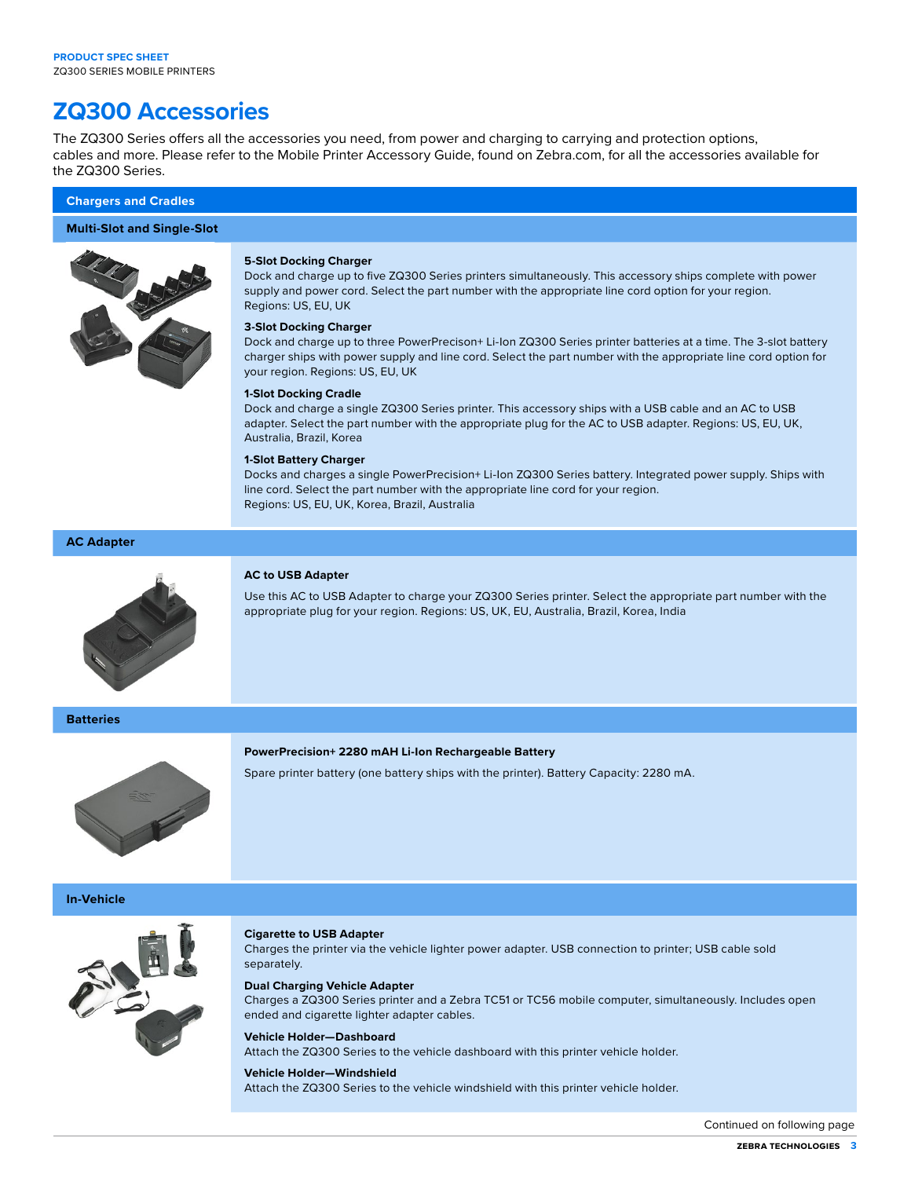## **ZQ300 Accessories**

The ZQ300 Series offers all the accessories you need, from power and charging to carrying and protection options, cables and more. Please refer to the Mobile Printer Accessory Guide, found on Zebra.com, for all the accessories available for the ZQ300 Series.

## **Chargers and Cradles**

## **Multi-Slot and Single-Slot**



### **5-Slot Docking Charger**

Dock and charge up to five ZQ300 Series printers simultaneously. This accessory ships complete with power supply and power cord. Select the part number with the appropriate line cord option for your region. Regions: US, EU, UK

## **3-Slot Docking Charger**

Dock and charge up to three PowerPrecison+ Li-Ion ZQ300 Series printer batteries at a time. The 3-slot battery charger ships with power supply and line cord. Select the part number with the appropriate line cord option for your region. Regions: US, EU, UK

## **1-Slot Docking Cradle**

Dock and charge a single ZQ300 Series printer. This accessory ships with a USB cable and an AC to USB adapter. Select the part number with the appropriate plug for the AC to USB adapter. Regions: US, EU, UK, Australia, Brazil, Korea

## **1-Slot Battery Charger**

Docks and charges a single PowerPrecision+ Li-Ion ZQ300 Series battery. Integrated power supply. Ships with line cord. Select the part number with the appropriate line cord for your region. Regions: US, EU, UK, Korea, Brazil, Australia

## **AC Adapter**



## **AC to USB Adapter**

Use this AC to USB Adapter to charge your ZQ300 Series printer. Select the appropriate part number with the appropriate plug for your region. Regions: US, UK, EU, Australia, Brazil, Korea, India

**Batteries**

## **PowerPrecision+ 2280 mAH Li-Ion Rechargeable Battery**

Spare printer battery (one battery ships with the printer). Battery Capacity: 2280 mA.

**In-Vehicle**



## **Cigarette to USB Adapter**

Charges the printer via the vehicle lighter power adapter. USB connection to printer; USB cable sold separately.

#### **Dual Charging Vehicle Adapter**

Charges a ZQ300 Series printer and a Zebra TC51 or TC56 mobile computer, simultaneously. Includes open ended and cigarette lighter adapter cables.

## **Vehicle Holder—Dashboard**

Attach the ZQ300 Series to the vehicle dashboard with this printer vehicle holder.

#### **Vehicle Holder—Windshield**

Attach the ZQ300 Series to the vehicle windshield with this printer vehicle holder.

Continued on following page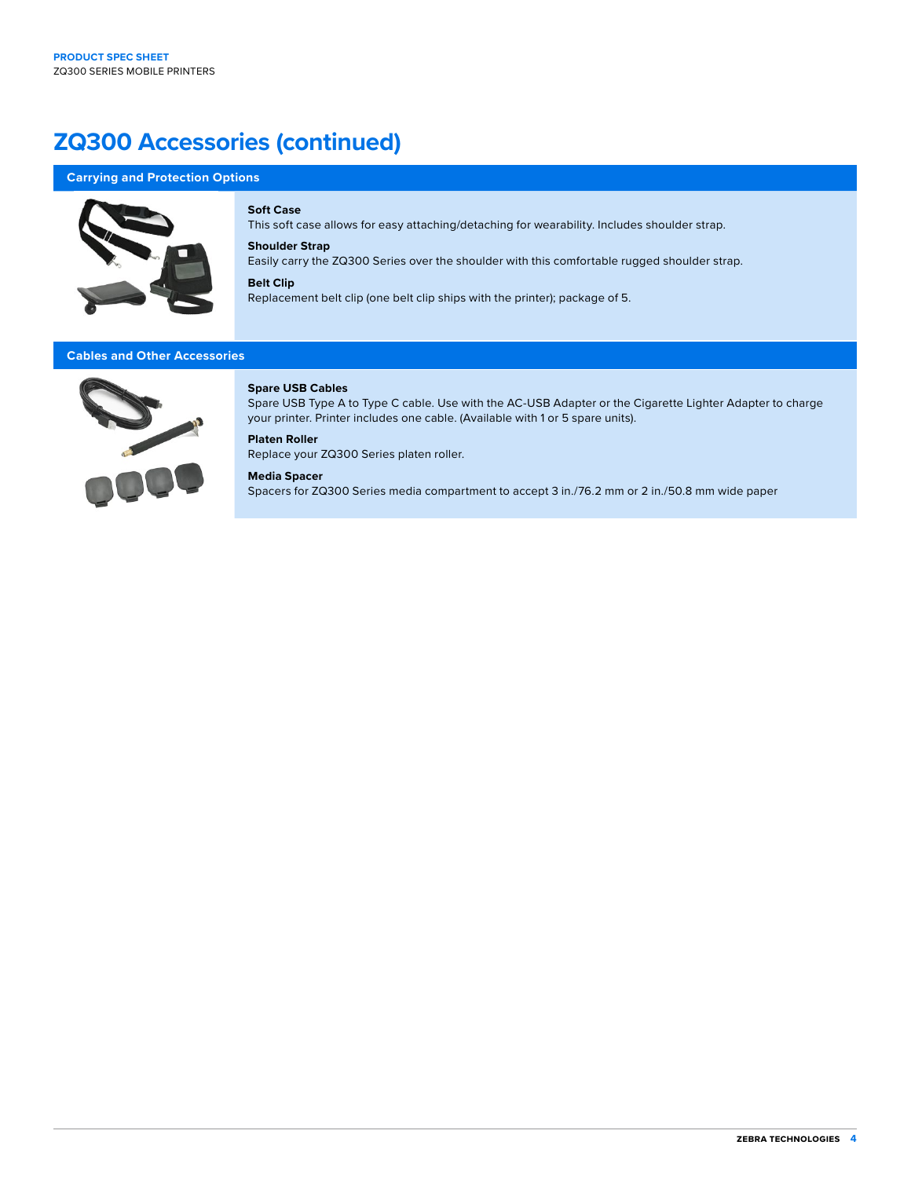## **ZQ300 Accessories (continued)**

## **Carrying and Protection Options**



## **Soft Case**

This soft case allows for easy attaching/detaching for wearability. Includes shoulder strap.

## **Shoulder Strap**

Easily carry the ZQ300 Series over the shoulder with this comfortable rugged shoulder strap.

## **Belt Clip**

Replacement belt clip (one belt clip ships with the printer); package of 5.

## **Cables and Other Accessories**



## **Spare USB Cables**

Spare USB Type A to Type C cable. Use with the AC-USB Adapter or the Cigarette Lighter Adapter to charge your printer. Printer includes one cable. (Available with 1 or 5 spare units).

## **Platen Roller**

Replace your ZQ300 Series platen roller.

## **Media Spacer**

Spacers for ZQ300 Series media compartment to accept 3 in./76.2 mm or 2 in./50.8 mm wide paper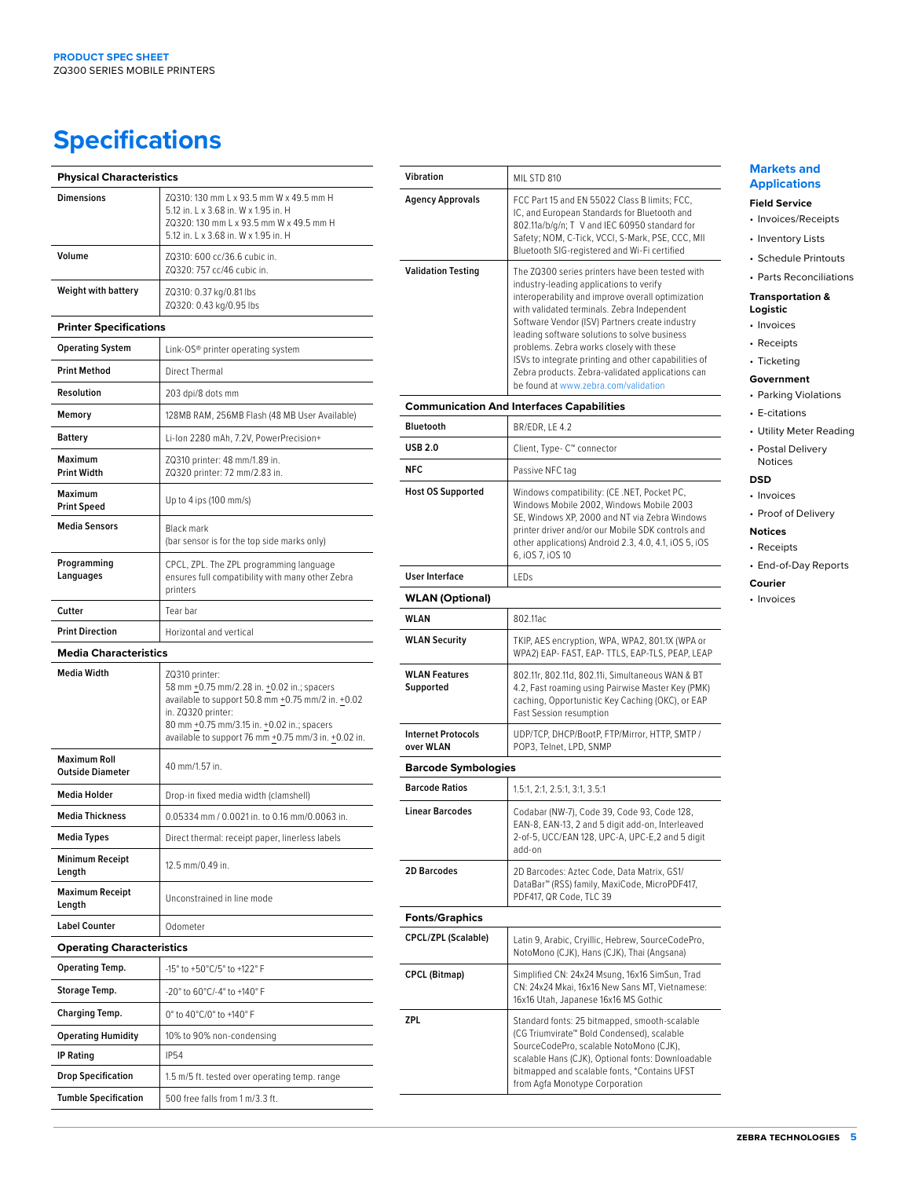## **Specifications**

| <b>Physical Characteristics</b>                |                                                                                                                                                                                                                                              |
|------------------------------------------------|----------------------------------------------------------------------------------------------------------------------------------------------------------------------------------------------------------------------------------------------|
| <b>Dimensions</b>                              | ZQ310: 130 mm L x 93.5 mm W x 49.5 mm H<br>5.12 in. L x 3.68 in. W x 1.95 in. H<br>ZQ320: 130 mm L x 93.5 mm W x 49.5 mm H<br>5.12 in. L x 3.68 in. W x 1.95 in. H                                                                           |
| Volume                                         | ZQ310: 600 cc/36.6 cubic in.<br>ZQ320: 757 cc/46 cubic in.                                                                                                                                                                                   |
| <b>Weight with battery</b>                     | ZQ310: 0.37 kg/0.81 lbs<br>ZQ320: 0.43 kg/0.95 lbs                                                                                                                                                                                           |
| <b>Printer Specifications</b>                  |                                                                                                                                                                                                                                              |
| <b>Operating System</b>                        | Link-OS® printer operating system                                                                                                                                                                                                            |
| <b>Print Method</b>                            | Direct Thermal                                                                                                                                                                                                                               |
| Resolution                                     | 203 dpi/8 dots mm                                                                                                                                                                                                                            |
| Memory                                         | 128MB RAM, 256MB Flash (48 MB User Available)                                                                                                                                                                                                |
| <b>Battery</b>                                 | Li-Ion 2280 mAh, 7.2V, PowerPrecision+                                                                                                                                                                                                       |
| Maximum<br><b>Print Width</b>                  | ZQ310 printer: 48 mm/1.89 in.<br>ZQ320 printer: 72 mm/2.83 in.                                                                                                                                                                               |
| Maximum<br><b>Print Speed</b>                  | Up to 4 ips (100 mm/s)                                                                                                                                                                                                                       |
| <b>Media Sensors</b>                           | <b>Black mark</b><br>(bar sensor is for the top side marks only)                                                                                                                                                                             |
| Programming<br>Languages                       | CPCL, ZPL. The ZPL programming language<br>ensures full compatibility with many other Zebra<br>printers                                                                                                                                      |
| Cutter                                         | Tear bar                                                                                                                                                                                                                                     |
| <b>Print Direction</b>                         | Horizontal and vertical                                                                                                                                                                                                                      |
| <b>Media Characteristics</b>                   |                                                                                                                                                                                                                                              |
| <b>Media Width</b>                             | ZQ310 printer:<br>58 mm +0.75 mm/2.28 in. +0.02 in.; spacers<br>available to support 50.8 mm +0.75 mm/2 in. +0.02<br>in. ZQ320 printer:<br>80 mm +0.75 mm/3.15 in. +0.02 in.; spacers<br>available to support 76 mm +0.75 mm/3 in. +0.02 in. |
| <b>Maximum Roll</b><br><b>Outside Diameter</b> | 40 mm/1.57 in.                                                                                                                                                                                                                               |
| <b>Media Holder</b>                            | Drop-in fixed media width (clamshell)                                                                                                                                                                                                        |
| <b>Media Thickness</b>                         | 0.05334 mm / 0.0021 in. to 0.16 mm/0.0063 in.                                                                                                                                                                                                |
| <b>Media Types</b>                             | Direct thermal: receipt paper, linerless labels                                                                                                                                                                                              |
| <b>Minimum Receipt</b><br>Length               | 12.5 mm/0.49 in.                                                                                                                                                                                                                             |
| <b>Maximum Receipt</b><br>Length               | Unconstrained in line mode                                                                                                                                                                                                                   |
| <b>Label Counter</b>                           | Odometer                                                                                                                                                                                                                                     |
| <b>Operating Characteristics</b>               |                                                                                                                                                                                                                                              |
| <b>Operating Temp.</b>                         | -15° to +50°C/5° to +122° F                                                                                                                                                                                                                  |
| <b>Storage Temp.</b>                           | -20° to 60°C/-4° to +140° F                                                                                                                                                                                                                  |
| Charging Temp.                                 | 0° to 40°C/0° to +140° F                                                                                                                                                                                                                     |
| <b>Operating Humidity</b>                      | 10% to 90% non-condensing                                                                                                                                                                                                                    |
| <b>IP Rating</b>                               | <b>IP54</b>                                                                                                                                                                                                                                  |
| <b>Drop Specification</b>                      | 1.5 m/5 ft. tested over operating temp. range                                                                                                                                                                                                |
| <b>Tumble Specification</b>                    | 500 free falls from 1 m/3.3 ft.                                                                                                                                                                                                              |

| Vibration                              | MIL STD 810                                                                                                                                                                                                                                                                                                                                                                                                                                                                                      |
|----------------------------------------|--------------------------------------------------------------------------------------------------------------------------------------------------------------------------------------------------------------------------------------------------------------------------------------------------------------------------------------------------------------------------------------------------------------------------------------------------------------------------------------------------|
| <b>Agency Approvals</b>                | FCC Part 15 and EN 55022 Class B limits; FCC,<br>IC, and European Standards for Bluetooth and<br>802.11a/b/g/n; T V and IEC 60950 standard for<br>Safety; NOM, C-Tick, VCCI, S-Mark, PSE, CCC, MII<br>Bluetooth SIG-registered and Wi-Fi certified                                                                                                                                                                                                                                               |
| <b>Validation Testing</b>              | The ZQ300 series printers have been tested with<br>industry-leading applications to verify<br>interoperability and improve overall optimization<br>with validated terminals. Zebra Independent<br>Software Vendor (ISV) Partners create industry<br>leading software solutions to solve business<br>problems. Zebra works closely with these<br>ISVs to integrate printing and other capabilities of<br>Zebra products. Zebra-validated applications can<br>be found at www.zebra.com/validation |
|                                        | <b>Communication And Interfaces Capabilities</b>                                                                                                                                                                                                                                                                                                                                                                                                                                                 |
| <b>Bluetooth</b>                       | BR/EDR, LE 4.2                                                                                                                                                                                                                                                                                                                                                                                                                                                                                   |
| <b>USB 2.0</b>                         | Client, Type- C™ connector                                                                                                                                                                                                                                                                                                                                                                                                                                                                       |
| <b>NFC</b>                             | Passive NFC tag                                                                                                                                                                                                                                                                                                                                                                                                                                                                                  |
| <b>Host OS Supported</b>               | Windows compatibility: (CE .NET, Pocket PC,<br>Windows Mobile 2002, Windows Mobile 2003<br>SE, Windows XP, 2000 and NT via Zebra Windows<br>printer driver and/or our Mobile SDK controls and<br>other applications) Android 2.3, 4.0, 4.1, iOS 5, iOS<br>6, iOS 7, iOS 10                                                                                                                                                                                                                       |
| <b>User Interface</b>                  | LEDs                                                                                                                                                                                                                                                                                                                                                                                                                                                                                             |
| <b>WLAN (Optional)</b>                 |                                                                                                                                                                                                                                                                                                                                                                                                                                                                                                  |
| WLAN                                   | 802.11ac                                                                                                                                                                                                                                                                                                                                                                                                                                                                                         |
| <b>WLAN Security</b>                   | TKIP, AES encryption, WPA, WPA2, 801.1X (WPA or<br>WPA2) EAP- FAST, EAP- TTLS, EAP-TLS, PEAP, LEAP                                                                                                                                                                                                                                                                                                                                                                                               |
| <b>WLAN Features</b><br>Supported      | 802.11r, 802.11d, 802.11i, Simultaneous WAN & BT<br>4.2, Fast roaming using Pairwise Master Key (PMK)<br>caching, Opportunistic Key Caching (OKC), or EAP<br><b>Fast Session resumption</b>                                                                                                                                                                                                                                                                                                      |
| <b>Internet Protocols</b><br>over WLAN | UDP/TCP, DHCP/BootP, FTP/Mirror, HTTP, SMTP /<br>POP3, Telnet, LPD, SNMP                                                                                                                                                                                                                                                                                                                                                                                                                         |
| <b>Barcode Symbologies</b>             |                                                                                                                                                                                                                                                                                                                                                                                                                                                                                                  |
| <b>Barcode Ratios</b>                  | 1.5:1, 2:1, 2.5:1, 3:1, 3.5:1                                                                                                                                                                                                                                                                                                                                                                                                                                                                    |
| <b>Linear Barcodes</b>                 | Codabar (NW-7), Code 39, Code 93, Code 128,<br>EAN-8, EAN-13, 2 and 5 digit add-on, Interleaved<br>2-of-5, UCC/EAN 128, UPC-A, UPC-E,2 and 5 digit<br>add-on                                                                                                                                                                                                                                                                                                                                     |
| 2D Barcodes                            | 2D Barcodes: Aztec Code, Data Matrix, GS1/<br>DataBar™ (RSS) family, MaxiCode, MicroPDF417,<br>PDF417, QR Code, TLC 39                                                                                                                                                                                                                                                                                                                                                                           |
| <b>Fonts/Graphics</b>                  |                                                                                                                                                                                                                                                                                                                                                                                                                                                                                                  |
| <b>CPCL/ZPL (Scalable)</b>             | Latin 9, Arabic, Cryillic, Hebrew, SourceCodePro,<br>NotoMono (CJK), Hans (CJK), Thai (Angsana)                                                                                                                                                                                                                                                                                                                                                                                                  |
| <b>CPCL (Bitmap)</b>                   | Simplified CN: 24x24 Msung, 16x16 SimSun, Trad<br>CN: 24x24 Mkai, 16x16 New Sans MT, Vietnamese:<br>16x16 Utah, Japanese 16x16 MS Gothic                                                                                                                                                                                                                                                                                                                                                         |
| ZPL                                    | Standard fonts: 25 bitmapped, smooth-scalable<br>(CG Triumvirate™ Bold Condensed), scalable<br>SourceCodePro, scalable NotoMono (CJK),<br>scalable Hans (CJK), Optional fonts: Downloadable<br>bitmapped and scalable fonts, *Contains UFST                                                                                                                                                                                                                                                      |

## **Markets and Applications**

## **Field Service**

- Invoices/Receipts
- nventory Lists
- Schedule Printouts • Parts Reconciliations

## **Transportation & Logistic**

## nvoices

- Receipts
- **Ticketing**

## **Government**

- Parking Violations
- E-citations
- Utility Meter Reading
- Postal Delivery Notices

## **DSD**

- **Invoices**
- Proof of Delivery

## **Notices**

• Receipts

## • End-of-Day Reports

- **Courier**
- nvoices